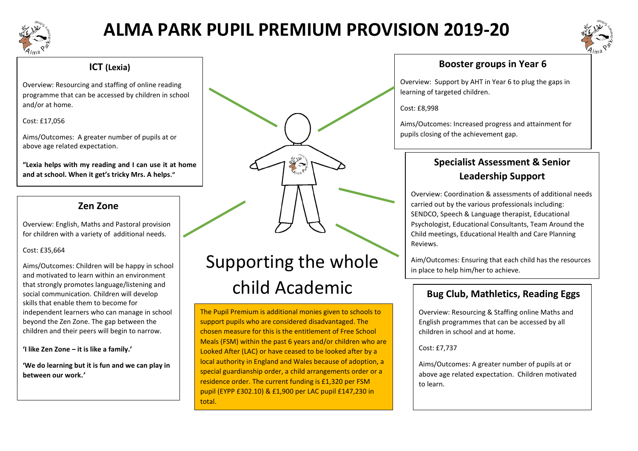

## **ALMA PARK PUPIL PREMIUM PROVISION 2019-20**



## **ICT (Lexia)**

Overview: Resourcing and staffing of online reading programme that can be accessed by children in school and/or at home.

#### Cost: £17,056

Aims/Outcomes: A greater number of pupils at or above age related expectation.

**"Lexia helps with my reading and I can use it at home and at school. When it get's tricky Mrs. A helps."**

## **Zen Zone**

Overview: English, Maths and Pastoral provision for children with a variety of additional needs.

#### Cost: £35,664

Aims/Outcomes: Children will be happy in school and motivated to learn within an environment that strongly promotes language/listening and social communication. Children will develop skills that enable them to become for independent learners who can manage in school beyond the Zen Zone. The gap between the children and their peers will begin to narrow.

**'I like Zen Zone – it is like a family.'**

**'We do learning but it is fun and we can play in between our work.***'*

# Supporting the whole child Academic

The Pupil Premium is additional monies given to schools to support pupils who are considered disadvantaged. The chosen measure for this is the entitlement of Free School Meals (FSM) within the past 6 years and/or children who are Looked After (LAC) or have ceased to be looked after by a local authority in England and Wales because of adoption, a special guardianship order, a child arrangements order or a residence order. The current funding is £1,320 per FSM pupil (EYPP £302.10) & £1,900 per LAC pupil £147,230 in total.

## **Booster groups in Year 6**

Overview: Support by AHT in Year 6 to plug the gaps in learning of targeted children.

Cost: £8,998

Aims/Outcomes: Increased progress and attainment for pupils closing of the achievement gap.

## **Specialist Assessment & Senior Leadership Support**

Overview: Coordination & assessments of additional needs carried out by the various professionals including: SENDCO, Speech & Language therapist, Educational Psychologist, Educational Consultants, Team Around the Child meetings, Educational Health and Care Planning Reviews.

Aim/Outcomes: Ensuring that each child has the resources in place to help him/her to achieve.

## **Bug Club, Mathletics, Reading Eggs**

Overview: Resourcing & Staffing online Maths and English programmes that can be accessed by all children in school and at home.

Cost: £7,737

Aims/Outcomes: A greater number of pupils at or above age related expectation. Children motivated to learn.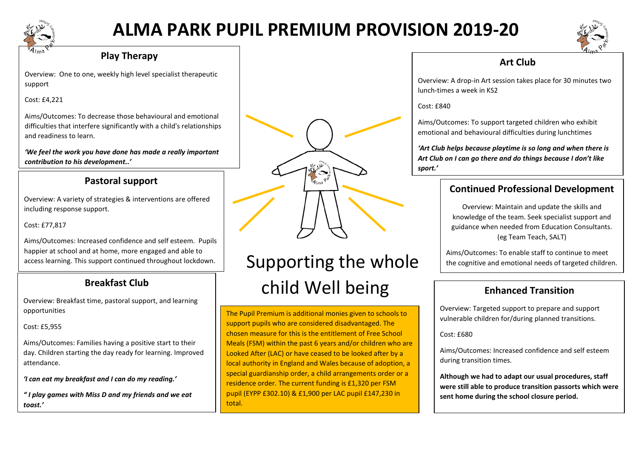

## **ALMA PARK PUPIL PREMIUM PROVISION 2019-20**



#### **Play Therapy**

Overview: One to one, weekly high level specialist therapeutic support

Cost: £4,221

Aims/Outcomes: To decrease those behavioural and emotional difficulties that interfere significantly with a child's relationships and readiness to learn.

*'We feel the work you have done has made a really important contribution to his development..'*

## **Pastoral support**

including response support. Overview: A variety of strategies & interventions are offered

Cost: £77,817

Aims/Outcomes: Increased confidence and self esteem. Pupils happier at school and at home, more engaged and able to access learning. This support continued throughout lockdown.

## **Breakfast Club**

Overview: Breakfast time, pastoral support, and learning opportunities

Cost: £5,955

Aims/Outcomes: Families having a positive start to their day. Children starting the day ready for learning. Improved attendance.

*'I can eat my breakfast and I can do my reading.'*

*" I play games with Miss D and my friends and we eat toast.'*



# Supporting the whole child Well being

The Pupil Premium is additional monies given to schools to support pupils who are considered disadvantaged. The chosen measure for this is the entitlement of Free School Meals (FSM) within the past 6 years and/or children who are Looked After (LAC) or have ceased to be looked after by a local authority in England and Wales because of adoption, a special guardianship order, a child arrangements order or a residence order. The current funding is £1,320 per FSM pupil (EYPP £302.10) & £1,900 per LAC pupil £147,230 in total.

## **Art Club**

Overview: A drop-in Art session takes place for 30 minutes two lunch-times a week in KS2

Cost: £840

Aims/Outcomes: To support targeted children who exhibit emotional and behavioural difficulties during lunchtimes

*'Art Club helps because playtime is so long and when there is Art Club on I can go there and do things because I don't like sport.'*

## **Continued Professional Development**

Overview: Maintain and update the skills and knowledge of the team. Seek specialist support and guidance when needed from Education Consultants. (eg Team Teach, SALT)

Aims/Outcomes: To enable staff to continue to meet the cognitive and emotional needs of targeted children.

## **Enhanced Transition**

Overview: Targeted support to prepare and support vulnerable children for/during planned transitions.

 $Cost: f680$ 

Aims/Outcomes: Increased confidence and self esteem during transition times.

**Although we had to adapt our usual procedures, staff were still able to produce transition passorts which were sent home during the school closure period.**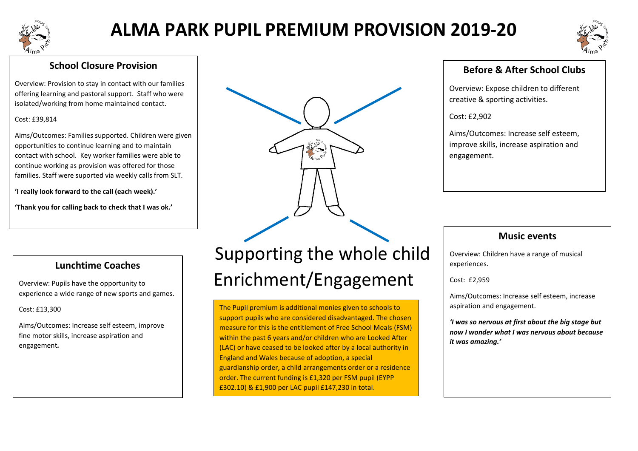

## **ALMA PARK PUPIL PREMIUM PROVISION 2019-20**



## **School Closure Provision**

Overview: Provision to stay in contact with our families offering learning and pastoral support. Staff who were isolated/working from home maintained contact.

#### Cost: £39,814

Aims/Outcomes: Families supported. Children were given opportunities to continue learning and to maintain contact with school. Key worker families were able to continue working as provision was offered for those families. Staff were suported via weekly calls from SLT.

**'I really look forward to the call (each week).'**

**'Thank you for calling back to check that I was ok.'**

## **Lunchtime Coaches**

Overview: Pupils have the opportunity to experience a wide range of new sports and games.

Cost: £13,300

Aims/Outcomes: Increase self esteem, improve fine motor skills, increase aspiration and engagement*.*

# Supporting the whole child Enrichment/Engagement

The Pupil premium is additional monies given to schools to support pupils who are considered disadvantaged. The chosen measure for this is the entitlement of Free School Meals (FSM) within the past 6 years and/or children who are Looked After (LAC) or have ceased to be looked after by a local authority in England and Wales because of adoption, a special guardianship order, a child arrangements order or a residence order. The current funding is £1,320 per FSM pupil (EYPP £302.10) & £1,900 per LAC pupil £147,230 in total.

## **Before & After School Clubs**

Overview: Expose children to different creative & sporting activities.

Cost: £2,902

Aims/Outcomes: Increase self esteem, improve skills, increase aspiration and engagement.

## **Music events**

Overview: Children have a range of musical experiences.

Cost: £2,959

Aims/Outcomes: Increase self esteem, increase aspiration and engagement.

*'I was so nervous at first about the big stage but now I wonder what I was nervous about because it was amazing.'*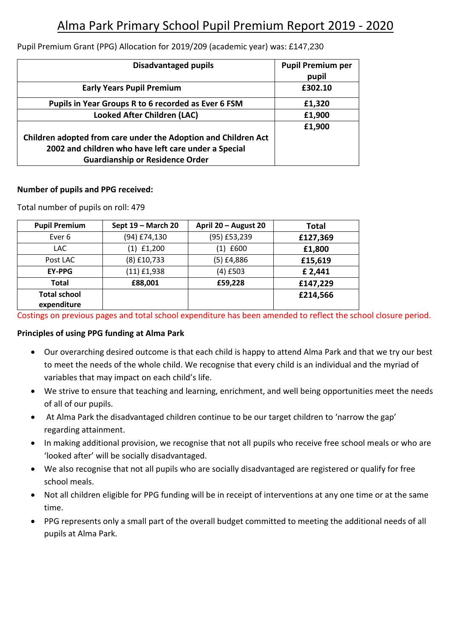## Alma Park Primary School Pupil Premium Report 2019 - 2020

| <b>Disadvantaged pupils</b>                                    | <b>Pupil Premium per</b> |
|----------------------------------------------------------------|--------------------------|
|                                                                | pupil                    |
| <b>Early Years Pupil Premium</b>                               | £302.10                  |
| Pupils in Year Groups R to 6 recorded as Ever 6 FSM            | £1,320                   |
| <b>Looked After Children (LAC)</b>                             | £1,900                   |
|                                                                | £1,900                   |
| Children adopted from care under the Adoption and Children Act |                          |
| 2002 and children who have left care under a Special           |                          |
| <b>Guardianship or Residence Order</b>                         |                          |

#### Pupil Premium Grant (PPG) Allocation for 2019/209 (academic year) was: £147,230

#### **Number of pupils and PPG received:**

Total number of pupils on roll: 479

| <b>Pupil Premium</b>               | Sept 19 - March 20 | April 20 - August 20 | <b>Total</b> |
|------------------------------------|--------------------|----------------------|--------------|
| Ever 6                             | (94) £74,130       | (95) £53,239         | £127,369     |
| LAC.                               | $(1)$ £1,200       | (1) £600             | £1,800       |
| Post LAC                           | $(8)$ £10,733      | $(5)$ £4,886         | £15,619      |
| <b>EY-PPG</b>                      | $(11)$ £1,938      | $(4)$ £503           | £ 2,441      |
| <b>Total</b>                       | £88,001            | £59,228              | £147,229     |
| <b>Total school</b><br>expenditure |                    |                      | £214,566     |

Costings on previous pages and total school expenditure has been amended to reflect the school closure period.

#### **Principles of using PPG funding at Alma Park**

- Our overarching desired outcome is that each child is happy to attend Alma Park and that we try our best to meet the needs of the whole child. We recognise that every child is an individual and the myriad of variables that may impact on each child's life.
- We strive to ensure that teaching and learning, enrichment, and well being opportunities meet the needs of all of our pupils.
- At Alma Park the disadvantaged children continue to be our target children to 'narrow the gap' regarding attainment.
- In making additional provision, we recognise that not all pupils who receive free school meals or who are 'looked after' will be socially disadvantaged.
- We also recognise that not all pupils who are socially disadvantaged are registered or qualify for free school meals.
- Not all children eligible for PPG funding will be in receipt of interventions at any one time or at the same time.
- PPG represents only a small part of the overall budget committed to meeting the additional needs of all pupils at Alma Park.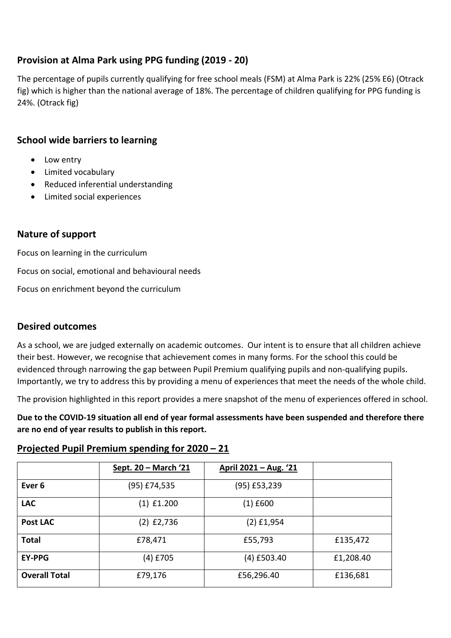## **Provision at Alma Park using PPG funding (2019 - 20)**

The percentage of pupils currently qualifying for free school meals (FSM) at Alma Park is 22% (25% E6) (Otrack fig) which is higher than the national average of 18%. The percentage of children qualifying for PPG funding is 24%. (Otrack fig)

## **School wide barriers to learning**

- Low entry
- Limited vocabulary
- Reduced inferential understanding
- Limited social experiences

## **Nature of support**

Focus on learning in the curriculum Focus on social, emotional and behavioural needs

Focus on enrichment beyond the curriculum

## **Desired outcomes**

As a school, we are judged externally on academic outcomes. Our intent is to ensure that all children achieve their best. However, we recognise that achievement comes in many forms. For the school this could be evidenced through narrowing the gap between Pupil Premium qualifying pupils and non-qualifying pupils. Importantly, we try to address this by providing a menu of experiences that meet the needs of the whole child.

The provision highlighted in this report provides a mere snapshot of the menu of experiences offered in school.

**Due to the COVID-19 situation all end of year formal assessments have been suspended and therefore there are no end of year results to publish in this report.**

## **Projected Pupil Premium spending for 2020 – 21**

|                      | Sept. 20 - March '21 | <u> April 2021 – Aug. '21</u> |           |
|----------------------|----------------------|-------------------------------|-----------|
| Ever <sub>6</sub>    | (95) £74,535         | (95) £53,239                  |           |
| <b>LAC</b>           | $(1)$ £1.200         | $(1)$ £600                    |           |
| <b>Post LAC</b>      | $(2)$ £2,736         | $(2)$ £1,954                  |           |
| <b>Total</b>         | £78,471              | £55,793                       | £135,472  |
| <b>EY-PPG</b>        | (4) £705             | $(4)$ £503.40                 | £1,208.40 |
| <b>Overall Total</b> | £79,176              | £56,296.40                    | £136,681  |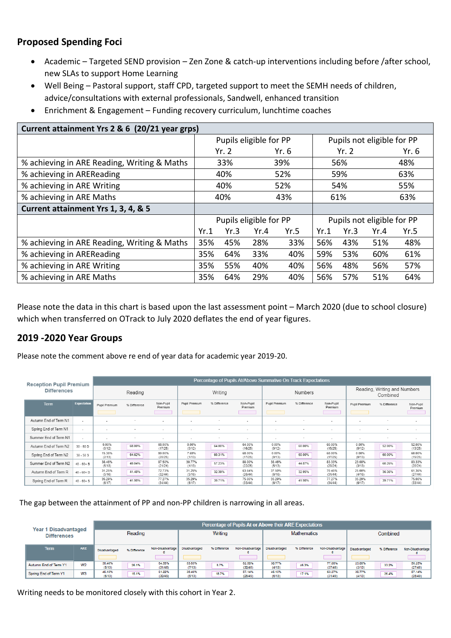## **Proposed Spending Foci**

- Academic Targeted SEND provision Zen Zone & catch-up interventions including before /after school, new SLAs to support Home Learning
- Well Being Pastoral support, staff CPD, targeted support to meet the SEMH needs of children, advice/consultations with external professionals, Sandwell, enhanced transition
- Enrichment & Engagement Funding recovery curriculum, lunchtime coaches

| Current attainment Yrs 2 & 6 (20/21 year grps) |      |      |                        |      |      |      |                            |      |
|------------------------------------------------|------|------|------------------------|------|------|------|----------------------------|------|
|                                                |      |      | Pupils eligible for PP |      |      |      | Pupils not eligible for PP |      |
|                                                |      | Yr.2 |                        | Yr.6 |      | Yr.2 | Yr.6                       |      |
| % achieving in ARE Reading, Writing & Maths    |      | 33%  |                        | 39%  |      | 56%  |                            | 48%  |
| % achieving in AREReading                      |      | 40%  |                        | 52%  |      | 59%  |                            | 63%  |
| % achieving in ARE Writing                     |      | 40%  |                        | 52%  |      | 54%  |                            | 55%  |
| % achieving in ARE Maths                       |      | 40%  |                        | 43%  | 61%  |      | 63%                        |      |
| Current attainment Yrs 1, 3, 4, & 5            |      |      |                        |      |      |      |                            |      |
|                                                |      |      | Pupils eligible for PP |      |      |      | Pupils not eligible for PP |      |
|                                                | Yr.1 | Yr.3 | Yr.4                   | Yr.5 | Yr.1 | Yr.3 | Yr.4                       | Yr.5 |
| % achieving in ARE Reading, Writing & Maths    | 35%  | 45%  | 28%                    | 33%  | 56%  | 43%  | 51%                        | 48%  |
| % achieving in AREReading                      | 35%  | 64%  | 33%                    | 40%  | 59%  | 53%  | 60%                        | 61%  |
| % achieving in ARE Writing                     | 35%  | 55%  | 40%                    | 40%  | 56%  | 48%  | 56%                        | 57%  |
| % achieving in ARE Maths                       | 35%  | 64%  | 29%                    | 40%  | 56%  | 57%  | 51%                        | 64%  |

Please note the data in this chart is based upon the last assessment point – March 2020 (due to school closure) which when transferred on OTrack to July 2020 deflates the end of year figures.

## **2019 -2020 Year Groups**

Please note the comment above re end of year data for academic year 2019-20.

| <b>Reception Pupil Premium</b> |                          |                          |              |                          |                          | Percentage of Pupils At/Above Summative On Track Expectations |                          |                          |                          |                          |                          |                                          |                          |  |  |
|--------------------------------|--------------------------|--------------------------|--------------|--------------------------|--------------------------|---------------------------------------------------------------|--------------------------|--------------------------|--------------------------|--------------------------|--------------------------|------------------------------------------|--------------------------|--|--|
| <b>Differences</b>             |                          |                          | Reading      |                          |                          | Writing                                                       |                          |                          | <b>Numbers</b>           |                          |                          | Reading, Writing and Numbers<br>Combined |                          |  |  |
| <b>Term</b>                    | <b>Expectation</b>       | Pupil Premium            | % Difference | Non-Pupil<br>Premium     | Pupil Premium            | % Difference                                                  | Non-Pupil<br>Premium     | Pupil Premium            | % Difference             | Non-Pupil<br>Premium     | Pupil Premium            | % Difference                             | Non-Pupil<br>Premium     |  |  |
| Autumn End of Term N1          |                          | $\overline{\phantom{a}}$ |              |                          |                          |                                                               | $\overline{\phantom{a}}$ |                          | ٠                        | $\overline{\phantom{a}}$ |                          |                                          | $\overline{\phantom{a}}$ |  |  |
| Spring End of Term N1          | $\sim$                   | $\tilde{\phantom{a}}$    |              |                          |                          |                                                               | $\overline{\phantom{a}}$ |                          | $\overline{\phantom{a}}$ | $\overline{\phantom{a}}$ |                          |                                          | $\sim$                   |  |  |
| Summer End of Term N1          | $\overline{\phantom{a}}$ | $\overline{\phantom{a}}$ |              | $\overline{\phantom{a}}$ | $\overline{\phantom{a}}$ |                                                               | $\overline{\phantom{a}}$ | $\overline{\phantom{a}}$ |                          | $\overline{\phantom{a}}$ | $\overline{\phantom{a}}$ |                                          | $\overline{\phantom{a}}$ |  |  |
| Autumn End of Term N2          | $30 - 50$ D              | 0.00%<br>(0/12)          | 68.00%       | 68.00%<br>(17/25)        | 0.00%<br>(0/12)          | 64.00%                                                        | 64.00%<br>(16/25)        | 0.00%<br>(0/12)          | 60.00%                   | 60.00%<br>(15/25)        | 0.00%<br>(0/12)          | 52.00%                                   | 52.00%<br>(13/25)        |  |  |
| Spring End of Term N2          | $30 - 50S$               | 15.38%<br>(2/13)         | 64.62%       | 80.00%<br>(20/25)        | 7.69%<br>(1/13)          | 60.31%                                                        | 68.00%<br>(17/25)        | 0.00%<br>(0/13)          | 68.00%                   | 68.00%<br>(17/25)        | 0.00%<br>(0/13)          | 60.00%                                   | 60.00%<br>(15/25)        |  |  |
| Summer End of Term N2          | $40 - 60 + B$            | 38.46%<br>(5/13)         | 49.04%       | 87.50%<br>(21/24)        | 30.77%<br>(4/13)         | 57.23%                                                        | 88.00%<br>(22/25)        | 38.46%<br>(5/13)         | 44.87%                   | 83.33%<br>(20/24)        | 23.08%<br>(3/13)         | 60.26%                                   | 83.33%<br>(20/24)        |  |  |
| Autumn End of Term R           | $40 - 60 + D$            | 31.25%<br>(5/16)         | 41.48%       | 72.73%<br>(32/44)        | 31.25%<br>(5/16)         | 32.39%                                                        | 63.64%<br>(28/44)        | 37.50%<br>(6/16)         | 32.95%                   | 70.45%<br>(31/44)        | 25.00%<br>(4/16)         | 36.36%                                   | 61.36%<br>(27/44)        |  |  |
| Spring End of Term R           | $40 - 60 + S$            | 35.29%<br>(6/17)         | 41.98%       | 77.27%<br>(34/44)        | 35.29%<br>(6/17)         | 39.71%                                                        | 75.00%<br>(33/44)        | 35.29%<br>(6/17)         | 41.98%                   | 77.27%<br>(34/44)        | 35.29%<br>(6/17)         | 39.71%                                   | 75.00%<br>(33/44)        |  |  |

The gap between the attainment of PP and non-PP children is narrowing in all areas.

| <b>Disadvantaged</b><br>Year |                |                  | Percentage of Pupils At or Above their ARE Expectations |                   |                  |              |                   |                  |                    |                   |                  |              |                   |  |  |
|------------------------------|----------------|------------------|---------------------------------------------------------|-------------------|------------------|--------------|-------------------|------------------|--------------------|-------------------|------------------|--------------|-------------------|--|--|
| <b>Differences</b>           |                | Reading          |                                                         |                   | Writing          |              |                   |                  | <b>Mathematics</b> |                   | Combined         |              |                   |  |  |
| <b>Term</b>                  | <b>ARE</b>     | Disadvantaged    | % Difference                                            | Non-Disadvantage  | Disadvantaged    | % Difference | Non-Disadvantage  | Disadvantaged    | % Difference       | Non-Disadvantage  | Disadvantaged    | % Difference | Non-Disadvantage  |  |  |
| Autumn End of Term Y1        | W <sub>2</sub> | 38.46%<br>(5/13) | 26.1%                                                   | 64.58%<br>(31/48) | 53.85%<br>(7/13) | 8.7%         | 62.50%<br>(30/48) | 30.77%<br>(4/13) | 46.3%              | 77.08%<br>(37/48) | 23.08%<br>(3/13) | 33.2%        | 56.25%<br>(27/48) |  |  |
| Spring End of Term Y1        | W <sub>3</sub> | 46.15%<br>(6/13) | 15.1%                                                   | 61.22%<br>(30/49) | 38.46%<br>(5/13) | 18.7%        | 57.14%<br>(28/49) | 46.15%<br>(6/13) | 17.1%              | 63.27%<br>(31/49) | 30.77%<br>(4/13) | 26.4%        | 57.14%<br>(28/49) |  |  |

Writing needs to be monitored closely with this cohort in Year 2.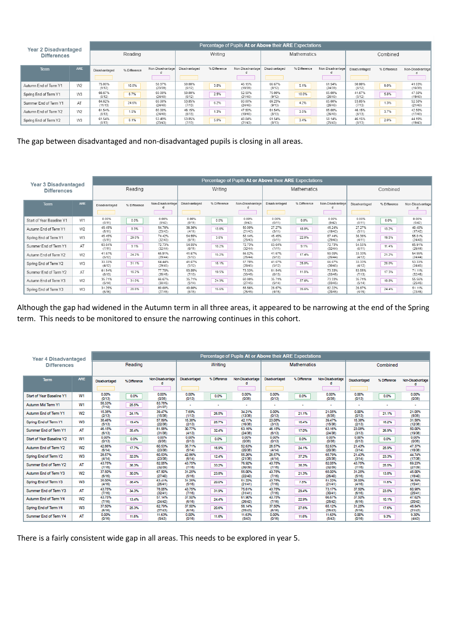| <b>Year 2 Disadvantaged</b> |                |                   | Percentage of Pupils At or Above their ARE Expectations |                   |                  |              |                   |                  |              |                   |                  |              |                   |  |  |
|-----------------------------|----------------|-------------------|---------------------------------------------------------|-------------------|------------------|--------------|-------------------|------------------|--------------|-------------------|------------------|--------------|-------------------|--|--|
| <b>Differences</b>          |                |                   | Reading                                                 |                   | Writing          |              |                   |                  | Mathematics  |                   | Combined         |              |                   |  |  |
| <b>Term</b>                 | <b>ARE</b>     | Disadvantaged     | % Difference                                            | Non-Disadvantage  | Disadvantaged    | % Difference | Non-Disadvantage  | Disadvantaged    | % Difference | Non-Disadvantage  | Disadvantaged    | % Difference | Non-Disadvantage  |  |  |
| Autumn End of Term Y1       | W <sub>2</sub> | 75.00%<br>(9/12)  | 16.0%                                                   | 58.97%<br>(23/39) | 50.00%<br>(6/12) | 3.8%         | 46.15%<br>(18/39) | 66.67%<br>(8/12) | 5.1%         | 61.54%<br>(24/39) | 50.00%<br>(6/12) | 9.0%         | 41.03%<br>(16/39) |  |  |
| Spring End of Term Y1       | W <sub>3</sub> | 66.67%<br>(8/12)  | 6.7%                                                    | 60.00%<br>(24/40) | 50.00%<br>(6/12) | 2.5%         | 52.50%<br>(21/40) | 75.00%<br>(9/12) | 10.0%        | 65.00%<br>(26/40) | 41.67%<br>(5/12) | 5.8%         | 47.50%<br>(19/40) |  |  |
| Summer End of Term Y1       | AT             | 84.62%<br>(11/13) | 24.6%                                                   | 60.00%<br>(24/40) | 53.85%<br>(7/13) | 6.2%         | 60.00%<br>(24/40) | 69.23%<br>(9/13) | 4.2%         | 65.00%<br>(26/40) | 53.85%<br>(7/13) | 1.3%         | 52.50%<br>(21/40) |  |  |
| Autumn End of Term Y2       | W <sub>2</sub> | 61.54%<br>(8/13)  | 1.5%                                                    | 60.00%<br>(24/40) | 46.15%<br>(6/13) | 1.3%         | 47.50%<br>(19/40) | 61.54%<br>(8/13) | 3.5%         | 65.00%<br>(26/40) | 46.15%<br>(6/13) | 3.7%         | 42.50%<br>(17/40) |  |  |
| Spring End of Term Y2       | W <sub>3</sub> | 61.54%<br>(8/13)  | 8.1%                                                    | 53.49%<br>(23/43) | 53.85%<br>(7/13) | 5.0%         | 48.84%<br>(21/43) | 61.54%<br>(8/13) | 3.4%         | 58.14%<br>(25/43) | 46.15%<br>(6/13) | 2.0%         | 44.19%<br>(19/43) |  |  |

The gap between disadvantaged and non-disadvantaged pupils is closing in all areas.

| <b>Year 3 Disadvantaged</b> |                |                  |              |                   |                  |              | Percentage of Pupils At or Above their ARE Expectations |                  |                    |                   |                  |              |                   |  |
|-----------------------------|----------------|------------------|--------------|-------------------|------------------|--------------|---------------------------------------------------------|------------------|--------------------|-------------------|------------------|--------------|-------------------|--|
| <b>Differences</b>          |                |                  | Reading      |                   | Writing          |              |                                                         |                  | <b>Mathematics</b> |                   |                  | Combined     |                   |  |
| <b>Term</b>                 | ARE            | Disadvantaged    | % Difference | Non-Disadvantage  | Disadvantaged    | % Difference | Non-Disadvantage                                        | Disadvantaged    | % Difference       | Non-Disadvantage  | Disadvantaged    | % Difference | Non-Disadvantage  |  |
| Start of Year Baseline Y1   | W1             | 0.00%<br>(0/11)  | 0.0%         | 0.00%<br>(0/42)   | 0.00%<br>(0/11)  | 0.0%         | 0.00%<br>(0/42)                                         | 0.00%<br>(0/11)  | 0.0%               | 0.00%<br>(0/42)   | 0.00%<br>(0/11)  | 0.0%         | 0.00%<br>(0/42)   |  |
| Autumn End of Term Y1       | W <sub>2</sub> | 45.45%<br>(5/11) | 9.3%         | 54.76%<br>(23/42) | 36.36%<br>(4/11) | 13.6%        | 50.00%<br>(21/42)                                       | 27.27%<br>(3/11) | 18.0%              | 45.24%<br>(19/42) | 27.27%<br>(3/11) | 13.2%        | 40.48%<br>(17/42) |  |
| Spring End of Term Y1       | W <sub>3</sub> | 45.45%<br>(5/11) | 29.0%        | 74.42%<br>(32/43) | 54.55%<br>(6/11) | 3.6%         | 58.14%<br>(25/43)                                       | 45.45%<br>(5/11) | 22.0%              | 67.44%<br>(29/43) | 36.36%<br>(4/11) | 19.5%        | 55.81%<br>(24/43) |  |
| Summer End of Term Y1       | AT             | 63.64%<br>(7/11) | 9.1%         | 72.73%<br>(32/44) | 54.55%<br>(6/11) | 18.2%        | 72.73%<br>(32/44)                                       | 63.64%<br>(7/11) | 9.1%               | 72.73%<br>(32/44) | 54.55%<br>(6/11) | 11.4%        | 65.91%<br>(29/44) |  |
| Autumn End of Term Y2       | W <sub>2</sub> | 41.67%<br>(5/12) | 24.2%        | 65.91%<br>(29/44) | 41.67%<br>(5/12) | 15.2%        | 56.82%<br>(25/44)                                       | 41.67%<br>(5/12) | 17.4%              | 59.09%<br>(26/44) | 33.33%<br>(4/12) | 21.2%        | 54.55%<br>(24/44) |  |
| Spring End of Term Y2       | W <sub>3</sub> | 33.33%<br>(4/12) | 31.1%        | 64.44%<br>(29/45) | 41.67%<br>(5/12) | 16.1%        | 57.78%<br>(26/45)                                       | 41.67%<br>(5/12) | 25.0%              | 66.67%<br>(30/45) | 33.33%<br>(4/12) | 20.0%        | 53.33%<br>(24/45) |  |
| Summer End of Term Y2       | AT             | 61.54%<br>(8/13) | 16.2%        | 77.78%<br>(35/45) | 53.85%<br>(7/13) | 19.5%        | 73.33%<br>(33/45)                                       | 61.54%<br>(8/13) | 11.8%              | 73.33%<br>(33/45) | 53.85%<br>(7/13) | 17.3%        | 71.11%<br>(32/45) |  |
| Autumn End of Term Y3       | W <sub>2</sub> | 35.71%<br>(5/14) | 31.0%        | 66.67%<br>(30/45) | 35.71%<br>(5/14) | 24.3%        | 60.00%<br>(27/45)                                       | 35.71%<br>(5/14) | 37.6%              | 73.33%<br>(33/45) | 35.71%<br>(5/14) | 19.8%        | 55.56%<br>(25/45) |  |
| Spring End of Term Y3       | W3             | 31.25%<br>(5/16) | 28.8%        | 60.00%<br>(27/45) | 40.00%<br>(6/15) | 15.6%        | 55.56%<br>(25/45)                                       | 26.67%<br>(4/15) | 35.6%              | 62.22%<br>(28/45) | 26.67%<br>(4/15) | 24.4%        | 51.11%<br>(23/45) |  |

Although the gap had widened in the Autumn term in all three areas, it appeared to be narrowing at the end of the Spring term. This needs to be monitored to ensure the narrowing continues in this cohort.

| Year 4 Disadvantaged      |                |                  |              |                   |                          |              | Percentage of Pupils At or Above their ARE Expectations |                          |                    |                          |                      |              |                          |
|---------------------------|----------------|------------------|--------------|-------------------|--------------------------|--------------|---------------------------------------------------------|--------------------------|--------------------|--------------------------|----------------------|--------------|--------------------------|
| <b>Differences</b>        |                |                  | Reading      |                   |                          | Writing      |                                                         |                          | <b>Mathematics</b> |                          |                      | Combined     |                          |
| Term                      | <b>ARE</b>     | Disadvantaged    | % Difference | Non-Disadvantage  | Disadvantaged            | % Difference | Non-Disadvantage                                        | Disadvantaged            | % Difference       | Non-Disadvantage         | Disadvantaged        | % Difference | Non-Disadvantage         |
| Start of Year Baseline Y1 | W1             | 0.00%<br>(0/13)  | 0.0%         | 0.00%<br>(0/38)   | 0.00%<br>(0/13)          | 0.0%         | 0.00%<br>(0/38)                                         | 0.00%<br>(0/13)          | 0.0%               | 0.00%<br>(0/38)          | 0.00%<br>(0/13)      | 0.0%         | 0.00%<br>(0/38)          |
| Autumn Mid Term Y1        | W1             | 58.33%<br>(7/12) | 25.5%        | 83.78%<br>(31/37) | $\overline{\phantom{a}}$ |              | $\sim$                                                  | $\overline{\phantom{a}}$ | ٠                  | $\overline{\phantom{a}}$ | $\ddot{\phantom{0}}$ |              | $\overline{\phantom{a}}$ |
| Autumn End of Term Y1     | W <sub>2</sub> | 15.38%<br>(2/13) | 24.1%        | 39.47%<br>(15/38) | 7,69%<br>(1/13)          | 26.5%        | 34.21%<br>(13/38)                                       | 0.00%<br>(0/13)          | 21.1%              | 21.05%<br>(8/38)         | 0.00%<br>(0/13)      | 21.1%        | 21.05%<br>(8/38)         |
| Spring End of Term Y1     | W3             | 38.46%<br>(5/13) | 19.4%        | 57.89%<br>(22/38) | 15.38%<br>(2/13)         | 26.7%        | 42.11%<br>(16/38)                                       | 23.08%<br>(3/13)         | 16.4%              | 39,47%<br>(15/38)        | 15.38%<br>(2/13)     | 16.2%        | 31.58%<br>(12/38)        |
| Summer End of Term Y1     | AT             | 46.15%<br>(6/13) | 35.4%        | 81.58%<br>(31/38) | 30.77%<br>(4/13)         | 32.4%        | 63.16%<br>(24/38)                                       | 46.15%<br>(6/13)         | 17.0%              | 63.16%<br>(24/38)        | 23.08%<br>(3/13)     | 26.9%        | 50.00%<br>(19/38)        |
| Start of Year Baseline Y2 | W1             | 0.00%<br>(0/13)  | 0.0%         | 0.00%<br>(0/38)   | 0.00%<br>(0/13)          | 0.0%         | 0.00%<br>(0/38)                                         | 0.00%<br>(0/13)          | 0.0%               | 0.00%<br>(0/38)          | 0.00%<br>(D/13)      | 0.0%         | 0.00%<br>(0/38)          |
| Autumn End of Term Y2     | W <sub>2</sub> | 42.86%<br>(6/14) | 17.7%        | 60.53%<br>(23/38) | 35.71%<br>(5/14)         | 16.9%        | 52.63%<br>(20/38)                                       | 28.57%<br>(4/14)         | 24.1%              | 52.63%<br>(20/38)        | 21.43%<br>(3/14)     | 25.9%        | 47.37%<br>(18/38)        |
| Spring End of Term Y2     | W3             | 28.57%<br>(4/14) | 32.0%        | 60.53%<br>(23/38) | 42.86%<br>(6/14)         | 12.4%        | 55,26%<br>(21/38)                                       | 28.57%<br>(4/14)         | 37.2%              | 65.79%<br>(25/38)        | 21,43%<br>(3/14)     | 23.3%        | 44.74%<br>(17/38)        |
| Summer End of Term Y2     | AT             | 43.75%<br>(7/16) | 38.3%        | 82.05%<br>(32/39) | 43.75%<br>(7/16)         | 33.2%        | 76.92%<br>(30/39)                                       | 43.75%<br>(7/16)         | 38.3%              | 82.05%<br>(32/39)        | 43.75%<br>(7/16)     | 25.5%        | 69.23%<br>(27/39)        |
| Autumn End of Term Y3     | W <sub>2</sub> | 37.50%<br>(6/16) | 30.0%        | 67.50%<br>(27/40) | 31.25%<br>(5/16)         | 23.8%        | 55.00%<br>(22/40)                                       | 43.75%<br>(7/16)         | 21.3%              | 65.00%<br>(26/40)        | 31.25%<br>(5/16)     | 13.8%        | 45.00%<br>(18/40)        |
| Spring End of Term Y3     | W3             | 25,00%<br>(4/16) | 38.4%        | 63.41%<br>(26/41) | 31.25%<br>(5/16)         | 20.0%        | 51.22%<br>(21/41)                                       | 43.75%<br>(7/16)         | 7.5%               | 51.22%<br>(21/41)        | 25.00%<br>(4/16)     | 11.6%        | 36.59%<br>(15/41)        |
| Summer End of Term Y3     | AT             | 43.75%<br>(7/16) | 34.3%        | 78.05%<br>(32/41) | 43.75%<br>(7/16)         | 31.9%        | 75.61%<br>(31/41)                                       | 43.75%<br>(7/16)         | 29.4%              | 73.17%<br>(30/41)        | 37.50%<br>(6/16)     | 23.5%        | 60.98%<br>(25/41)        |
| Autumn End of Term Y4     | W2             | 43.75%<br>(7/16) | 13.4%        | 57.14%<br>(24/42) | 37.50%<br>(6/16)         | 24.4%        | 61.90%<br>(26/42)                                       | 43.75%<br>(7/16)         | 22.9%              | 66.67%<br>(28/42)        | 37.50%<br>(6/16)     | 10.1%        | 47.62%<br>(20/42)        |
| Spring End of Term Y4     | W3             | 37.50%<br>(6/16) | 25.3%        | 62.79%<br>(27/43) | 37.50%<br>(6/16)         | 20.6%        | 58.14%<br>(25/43)                                       | 37.50%<br>(6/16)         | 27.6%              | 65.12%<br>(28/43)        | 31.25%<br>(5/16)     | 17.6%        | 48.84%<br>(21/43)        |
| Summer End of Term Y4     | AT             | 0.00%<br>(0/16)  | 11.6%        | 11.63%<br>(5/43)  | 0.00%<br>(0/16)          | 11.6%        | 11.63%<br>(5/43)                                        | 0.00%<br>(0/16)          | 11.6%              | 11.63%<br>(5/43)         | 0.00%<br>(0/16)      | 9.3%         | 9.30%<br>(4/43)          |

There is a fairly consistent wide gap in all areas. This needs to be explored in year 5.